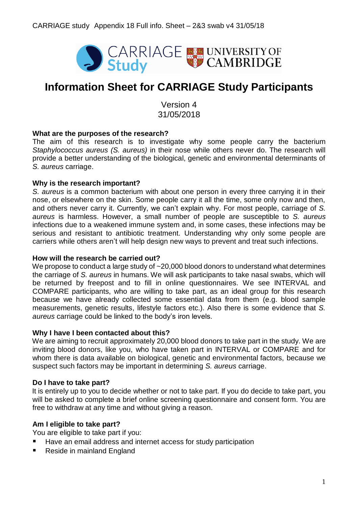

# **Information Sheet for CARRIAGE Study Participants**

Version 4 31/05/2018

## **What are the purposes of the research?**

The aim of this research is to investigate why some people carry the bacterium *Staphylococcus aureus (S. aureus)* in their nose while others never do. The research will provide a better understanding of the biological, genetic and environmental determinants of *S. aureus* carriage.

#### **Why is the research important?**

*S. aureus* is a common bacterium with about one person in every three carrying it in their nose, or elsewhere on the skin. Some people carry it all the time, some only now and then, and others never carry it. Currently, we can't explain why. For most people, carriage of *S. aureus* is harmless. However, a small number of people are susceptible to *S. aureus* infections due to a weakened immune system and, in some cases, these infections may be serious and resistant to antibiotic treatment. Understanding why only some people are carriers while others aren't will help design new ways to prevent and treat such infections.

#### **How will the research be carried out?**

We propose to conduct a large study of ~20,000 blood donors to understand what determines the carriage of *S. aureus* in humans. We will ask participants to take nasal swabs, which will be returned by freepost and to fill in online questionnaires. We see INTERVAL and COMPARE participants, who are willing to take part, as an ideal group for this research because we have already collected some essential data from them (e.g. blood sample measurements, genetic results, lifestyle factors etc.). Also there is some evidence that *S. aureus* carriage could be linked to the body's iron levels.

#### **Why I have I been contacted about this?**

We are aiming to recruit approximately 20,000 blood donors to take part in the study. We are inviting blood donors, like you, who have taken part in INTERVAL or COMPARE and for whom there is data available on biological, genetic and environmental factors, because we suspect such factors may be important in determining *S. aureus* carriage.

## **Do I have to take part?**

It is entirely up to you to decide whether or not to take part. If you do decide to take part, you will be asked to complete a brief online screening questionnaire and consent form. You are free to withdraw at any time and without giving a reason.

## **Am I eligible to take part?**

You are eligible to take part if you:

- Have an email address and internet access for study participation
- Reside in mainland England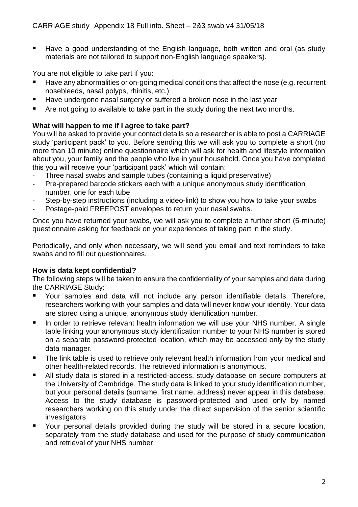■ Have a good understanding of the English language, both written and oral (as study materials are not tailored to support non-English language speakers).

You are not eligible to take part if you:

- Have any abnormalities or on-going medical conditions that affect the nose (e.g. recurrent nosebleeds, nasal polyps, rhinitis, etc.)
- Have undergone nasal surgery or suffered a broken nose in the last year
- Are not going to available to take part in the study during the next two months.

# **What will happen to me if I agree to take part?**

You will be asked to provide your contact details so a researcher is able to post a CARRIAGE study 'participant pack' to you. Before sending this we will ask you to complete a short (no more than 10 minute) online questionnaire which will ask for health and lifestyle information about you, your family and the people who live in your household. Once you have completed this you will receive your 'participant pack' which will contain:

- Three nasal swabs and sample tubes (containing a liquid preservative)
- Pre-prepared barcode stickers each with a unique anonymous study identification number, one for each tube
- Step-by-step instructions (including a video-link) to show you how to take your swabs
- Postage-paid FREEPOST envelopes to return your nasal swabs.

Once you have returned your swabs, we will ask you to complete a further short (5-minute) questionnaire asking for feedback on your experiences of taking part in the study.

Periodically, and only when necessary, we will send you email and text reminders to take swabs and to fill out questionnaires.

# **How is data kept confidential?**

The following steps will be taken to ensure the confidentiality of your samples and data during the CARRIAGE Study:

- Your samples and data will not include any person identifiable details. Therefore, researchers working with your samples and data will never know your identity. Your data are stored using a unique, anonymous study identification number.
- In order to retrieve relevant health information we will use your NHS number. A single table linking your anonymous study identification number to your NHS number is stored on a separate password-protected location, which may be accessed only by the study data manager.
- The link table is used to retrieve only relevant health information from your medical and other health-related records. The retrieved information is anonymous.
- All study data is stored in a restricted-access, study database on secure computers at the University of Cambridge. The study data is linked to your study identification number, but your personal details (surname, first name, address) never appear in this database. Access to the study database is password-protected and used only by named researchers working on this study under the direct supervision of the senior scientific investigators
- Your personal details provided during the study will be stored in a secure location, separately from the study database and used for the purpose of study communication and retrieval of your NHS number.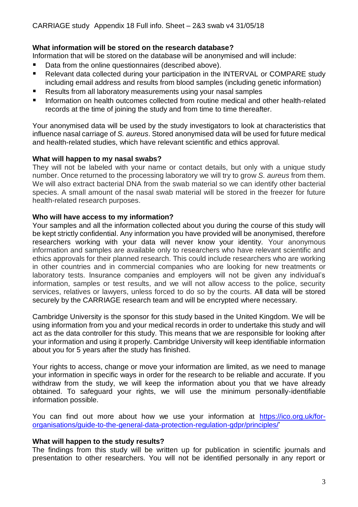# **What information will be stored on the research database?**

Information that will be stored on the database will be anonymised and will include:

- Data from the online questionnaires (described above).
- Relevant data collected during your participation in the INTERVAL or COMPARE study including email address and results from blood samples (including genetic information)
- Results from all laboratory measurements using your nasal samples
- Information on health outcomes collected from routine medical and other health-related records at the time of joining the study and from time to time thereafter.

Your anonymised data will be used by the study investigators to look at characteristics that influence nasal carriage of *S. aureus*. Stored anonymised data will be used for future medical and health-related studies, which have relevant scientific and ethics approval.

## **What will happen to my nasal swabs?**

They will not be labeled with your name or contact details, but only with a unique study number. Once returned to the processing laboratory we will try to grow *S. aureus* from them. We will also extract bacterial DNA from the swab material so we can identify other bacterial species. A small amount of the nasal swab material will be stored in the freezer for future health-related research purposes.

# **Who will have access to my information?**

Your samples and all the information collected about you during the course of this study will be kept strictly confidential. Any information you have provided will be anonymised, therefore researchers working with your data will never know your identity. Your anonymous information and samples are available only to researchers who have relevant scientific and ethics approvals for their planned research. This could include researchers who are working in other countries and in commercial companies who are looking for new treatments or laboratory tests. Insurance companies and employers will not be given any individual's information, samples or test results, and we will not allow access to the police, security services, relatives or lawyers, unless forced to do so by the courts. All data will be stored securely by the CARRIAGE research team and will be encrypted where necessary.

Cambridge University is the sponsor for this study based in the United Kingdom. We will be using information from you and your medical records in order to undertake this study and will act as the data controller for this study. This means that we are responsible for looking after your information and using it properly. Cambridge University will keep identifiable information about you for 5 years after the study has finished.

Your rights to access, change or move your information are limited, as we need to manage your information in specific ways in order for the research to be reliable and accurate. If you withdraw from the study, we will keep the information about you that we have already obtained. To safeguard your rights, we will use the minimum personally-identifiable information possible.

You can find out more about how we use your information at [https://ico.org.uk/for](https://ico.org.uk/for-organisations/guide-to-the-general-data-protection-regulation-gdpr/principles/)[organisations/guide-to-the-general-data-protection-regulation-gdpr/principles/'](https://ico.org.uk/for-organisations/guide-to-the-general-data-protection-regulation-gdpr/principles/)

## **What will happen to the study results?**

The findings from this study will be written up for publication in scientific journals and presentation to other researchers. You will not be identified personally in any report or